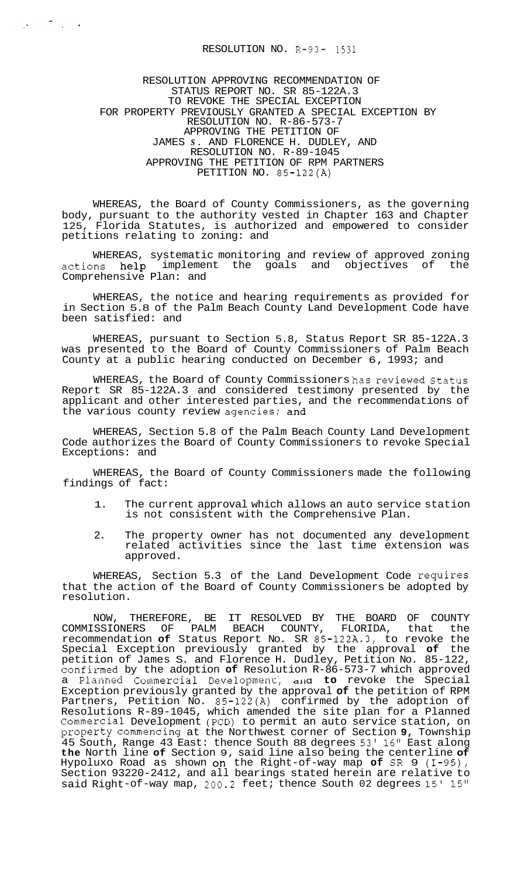$\label{eq:2.1} \frac{1}{\sqrt{2}}\left(\frac{1}{\sqrt{2}}\right)^{\frac{1}{2}}\left(\frac{1}{\sqrt{2}}\right)^{\frac{1}{2}}\left(\frac{1}{\sqrt{2}}\right)^{\frac{1}{2}}\left(\frac{1}{\sqrt{2}}\right)^{\frac{1}{2}}\left(\frac{1}{\sqrt{2}}\right)^{\frac{1}{2}}\left(\frac{1}{\sqrt{2}}\right)^{\frac{1}{2}}\left(\frac{1}{\sqrt{2}}\right)^{\frac{1}{2}}\left(\frac{1}{\sqrt{2}}\right)^{\frac{1}{2}}\left(\frac{1}{\sqrt{2}}\right)^{\frac{1}{2}}\left(\$ 

RESOLUTION APPROVING RECOMMENDATION OF STATUS REPORT NO. SR 85-122A.3 TO REVOKE THE SPECIAL EXCEPTION RESOLUTION NO. R-86-573-7 APPROVING THE PETITION OF JAMES *S.* AND FLORENCE H. DUDLEY, AND RESOLUTION NO. R-89-1045 APPROVING THE PETITION OF RPM PARTNERS PETITION NO. 85-122(A) FOR PROPERTY PREVIOUSLY GRANTED A SPECIAL EXCEPTION BY

WHEREAS, the Board of County Commissioners, as the governing body, pursuant to the authority vested in Chapter 163 and Chapter 125, Florida Statutes, is authorized and empowered to consider petitions relating to zoning: and

WHEREAS, systematic monitoring and review of approved zoning actions help implement the goals and objectives of the Comprehensive Plan: and

WHEREAS, the notice and hearing requirements as provided for in Section 5.8 of the Palm Beach County Land Development Code have been satisfied: and

WHEREAS, pursuant to Section 5.8, Status Report SR 85-122A.3 was presented to the Board of County Commissioners of Palm Beach County at a public hearing conducted on December 6, 1993; and

WHEREAS, the Board of County Commissioners has reviewed Status Report SR 85-122A.3 and considered testimony presented by the applicant and other interested parties, and the recommendations of the various county review agencies; and

WHEREAS, Section 5.8 of the Palm Beach County Land Development Code authorizes the Board of County Commissioners to revoke Special Exceptions: and

WHEREAS, the Board of County Commissioners made the following findings of fact:

- 1. The current approval which allows an auto service station is not consistent with the Comprehensive Plan.
- 2. The property owner has not documented any development related activities since the last time extension was approved.

WHEREAS, Section 5.3 of the Land Development Code requires that the action of the Board of County Commissioners be adopted by resolution.

NOW, THEREFORE, BE IT RESOLVED BY THE BOARD OF COUNTY COMMISSIONERS OF PALM BEACH COUNTY, FLORIDA, that the recommendation **of** Status Report No. SR 85-12224.3, to revoke the Special Exception previously granted by the approval **of** the petition of James S. and Florence H. Dudley, Petition No. 85-122, confimed by the adoption **of** Resolution R-86-573-7 which approved a Planned Commercial Development', and to revoke the Special Exception previously granted by the approval **of** the petition of RPM Partners, Petition No. 85-122(A) confirmed by the adoption of Resolutions R-89-1045, which amended the site plan for a Planned Commercial Development (PCD) to permit an auto service station, on property commencing at the Northwest corner of Section **9,** Township 45 South, Range 43 East: thence South 88 degrees 53' 16" East along **the** North line **of** Section 9, said line also being the centerline **of**  Hypoluxo Road as shown on the Right-of-way map **of SR** 9 (1-95), Section 93220-2412, and all bearings stated herein are relative to said Right-of-way map, 200.2 feet; thence South 02 degrees 15' 15"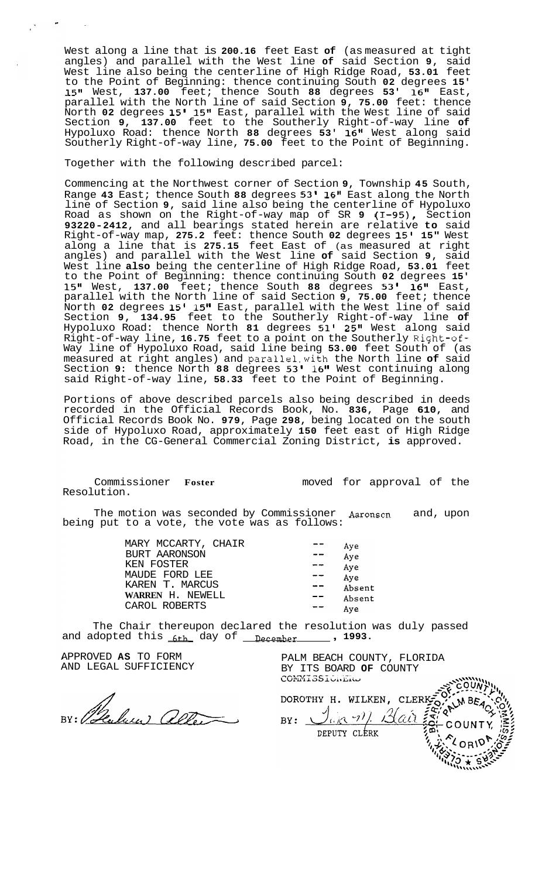West along a line that is **200.16** feet East **of** (as measured at tight angles) and parallel with the West line **of** said Section **9,** said West line also being the centerline of High Ridge Road, **53.01** feet to the Point of Beginning: thence continuing South **02** degrees **15' 15"** West, **137.00** feet; thence South **88** degrees **53' 16"** East, parallel with the North line of said Section **9, 75.00** feet: thence North **02** degrees **15' 15"** East, parallel with the West line of said Section **9, 137.00** feet to the Southerly Right-of-way line **of**  Hypoluxo Road: thence North **88** degrees **53' 16"** West along said Southerly Right-of-way line, **75.00** feet to the Point of Beginning.

Together with the following described parcel:

Commencing at the Northwest corner of Section **9,** Township **45** South, Range **43** East; thence South **88** degrees **53' 16"** East along the North line of Section **9,** said line also being the centerline of Hypoluxo Road as shown on the Right-of-way map of SR **9 (1-95),** Section **93220-2412,** and all bearings stated herein are relative **to** said Right-of-way map, **275.2** feet: thence South **02** degrees **15' 15"** West along a line that is **275.15** feet East of (as measured at right angles) and parallel with the West line **of** said Section **9,** said West line **also** being the centerline of High Ridge Road, **53.01** feet to the Point of Beginning: thence continuing South **02** degrees **15' 15"** West, **137.00** feet; thence South **88** degrees **53' 16"** East, parallel with the North line of said Section **9, 75.00** feet; thence North **02** degrees **15' 15"** East, parallel with the West line of said Section **9, 134.95** feet to the Southerly Right-of-way line **of**  Hypoluxo Road: thence North **81** degrees **51' 25"** West along said Right-of-way line, **16.75** feet to a point on the Southerly Right-of-Way line of Hypoluxo Road, said line being **53.00** feet South of (as measured at right angles) and parallel.with the North line **of** said Section **9:** thence North **88** degrees **53' 16"** West continuing along said Right-of-way line, **58.33** feet to the Point of Beginning.

Portions of above described parcels also being described in deeds recorded in the Official Records Book, No. **836,** Page **610,** and Official Records Book No. **979,** Page **298,** being located on the south side of Hypoluxo Road, approximately **150** feet east of High Ridge Road, in the CG-General Commercial Zoning District, **is** approved.

Commissioner **Foster**  Resolution.

moved for approval of the

The motion was seconded by Commissioner **Aaronson** and, upon being put to a vote, the vote was as follows:

> MARY MCCARTY, CHAIR BURT AARONSON KEN FOSTER MAUDE FORD LEE KAREN T. MARCUS **WARREN** H. NEWELL CAROL ROBERTS

Aye  $-$ Aye  $- -$ Aye  $-$ Aye Absent  $- -$ Absent Aye

 $- -$ 

The Chair thereupon declared the resolution was duly passed and adopted this <sub>6th</sub> day of <u>necember</u> , 1993.

APPROVED **AS** TO FORM AND LEGAL SUFFICIENCY

BY: Peulus aller

PALM BEACH COUNTY, FLORIDA BY ITS BOARD OF COUNTY COMMISSIONERS

 $255.0000$ DOROTHY H. WILKEN, CLERKED, LIM BEAC - C C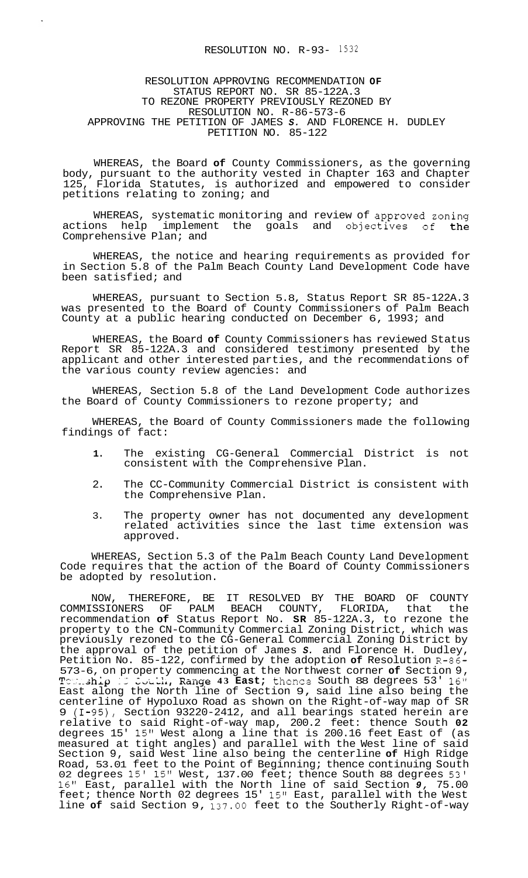## RESOLUTION APPROVING RECOMMENDATION **OF**  STATUS REPORT NO. SR 85-122A.3 TO REZONE PROPERTY PREVIOUSLY REZONED BY RESOLUTION NO. R-86-573-6 APPROVING THE PETITION OF JAMES *S.* AND FLORENCE H. DUDLEY PETITION NO. 85-122

WHEREAS, the Board **of** County Commissioners, as the governing body, pursuant to the authority vested in Chapter 163 and Chapter<br>125. Florida Statutes, is authorized and empowered to consider Florida Statutes, is authorized and empowered to consider petitions relating to zoning; and

WHEREAS, systematic monitoring and review of approved zoning actions help implement the goals and objectives of the Comprehensive Plan; and

WHEREAS, the notice and hearing requirements as provided for in Section 5.8 of the Palm Beach County Land Development Code have been satisfied; and

WHEREAS, pursuant to Section 5.8, Status Report SR 85-122A.3 was presented to the Board of County Commissioners of Palm Beach County at a public hearing conducted on December 6, 1993; and

WHEREAS, the Board **of** County Commissioners has reviewed Status Report SR 85-122A.3 and considered testimony presented by the applicant and other interested parties, and the recommendations of the various county review agencies: and

WHEREAS, Section 5.8 of the Land Development Code authorizes the Board of County Commissioners to rezone property; and

WHEREAS, the Board of County Commissioners made the following findings of fact:

- **1.** The existing CG-General Commercial District is not consistent with the Comprehensive Plan.
- 2. The CC-Community Commercial District is consistent with the Comprehensive Plan.
- 3. The property owner has not documented any development related activities since the last time extension was approved.

WHEREAS, Section 5.3 of the Palm Beach County Land Development Code requires that the action of the Board of County Commissioners be adopted by resolution.

NOW, THEREFORE, BE IT RESOLVED BY THE BOARD OF COUNTY COMMISSIONERS OF PALM BEACH COUNTY, FLORIDA, that the recommendation **of** Status Report No. **SR** 85-122A.3, to rezone the property to the CN-Community Commercial Zoning District, which was previously rezoned to the CG-General Commercial Zoning District by the approval of the petition of James *S.* and Florence H. Dudley, Petition No. 85-122, confirmed by the adoption **of** Resolution R-86- 573-6, on property commencing at the Northwest corner **of** Section 9, Tourship 15 Couth, Range 43 East; thence South 88 degrees 53' 16" East along the North line of Section 9, said line also being the centerline of Hypoluxo Road as shown on the Right-of-way map of SR 9 (I-95), Section 93220-2412, and all bearings stated herein are relative to said Right-of-way map, 200.2 feet: thence South **02**  degrees 15' 15" West along a line that is 200.16 feet East of (as measured at tight angles) and parallel with the West line of said Section 9, said West line also being the centerline **of** High Ridge Road, 53.01 feet to the Point of Beginning; thence continuing South 02 degrees 15' 15" West, 137.00 feet; thence South 88 degrees 53' 16'' East, parallel with the North line of said Section *9,* 75.00 feet; thence North 02 degrees 15' 15" East, parallel with the West line **of** said Section 9, 137.00 feet to the Southerly Right-of-way